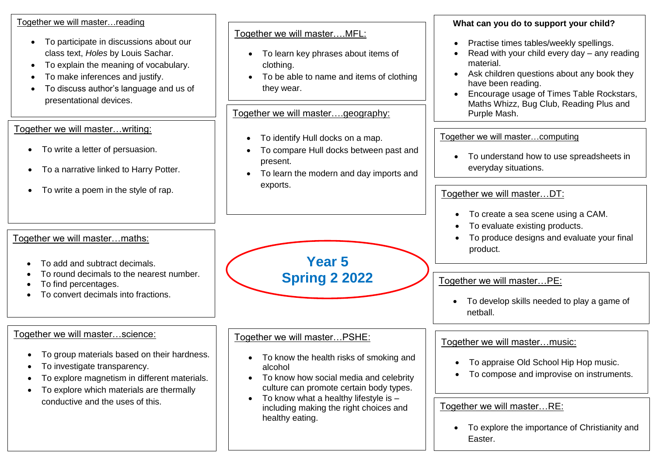#### Together we will master…reading

- To participate in discussions about our class text, *Holes* by Louis Sachar.
- To explain the meaning of vocabulary.
- To make inferences and justify.
- To discuss author's language and us of presentational devices.

## Together we will master…writing:

- To write a letter of persuasion.
- To a narrative linked to Harry Potter.
- To write a poem in the style of rap.

## Together we will master…maths:

- To add and subtract decimals.
- To round decimals to the nearest number.
- To find percentages.
- To convert decimals into fractions.

# Together we will master…science:

- To group materials based on their hardness.
- To investigate transparency.
- To explore magnetism in different materials.
- To explore which materials are thermally conductive and the uses of this.

### Together we will master….MFL:

- To learn key phrases about items of clothing.
- To be able to name and items of clothing they wear.

Together we will master….geography:

- To identify Hull docks on a map.
- To compare Hull docks between past and present.
- To learn the modern and day imports and exports.

**Year 5** 

**Spring 2 2022**

• To know the health risks of smoking and

• To know how social media and celebrity culture can promote certain body types.

• To know what a healthy lifestyle is  $$ including making the right choices and

Together we will master…PSHE:

alcohol

healthy eating.

#### **What can you do to support your child?**

- Practise times tables/weekly spellings.
- Read with your child every day any reading material.
- Ask children questions about any book they have been reading.
- Encourage usage of Times Table Rockstars, Maths Whizz, Bug Club, Reading Plus and Purple Mash.

Together we will master…computing

• To understand how to use spreadsheets in everyday situations.

Together we will master…DT:

- To create a sea scene using a CAM.
- To evaluate existing products.
- To produce designs and evaluate your final product.

Together we will master…PE:

• To develop skills needed to play a game of netball.

#### Together we will master…music:

- To appraise Old School Hip Hop music.
- To compose and improvise on instruments.

Together we will master…RE:

•

• To explore the importance of Christianity and Easter.